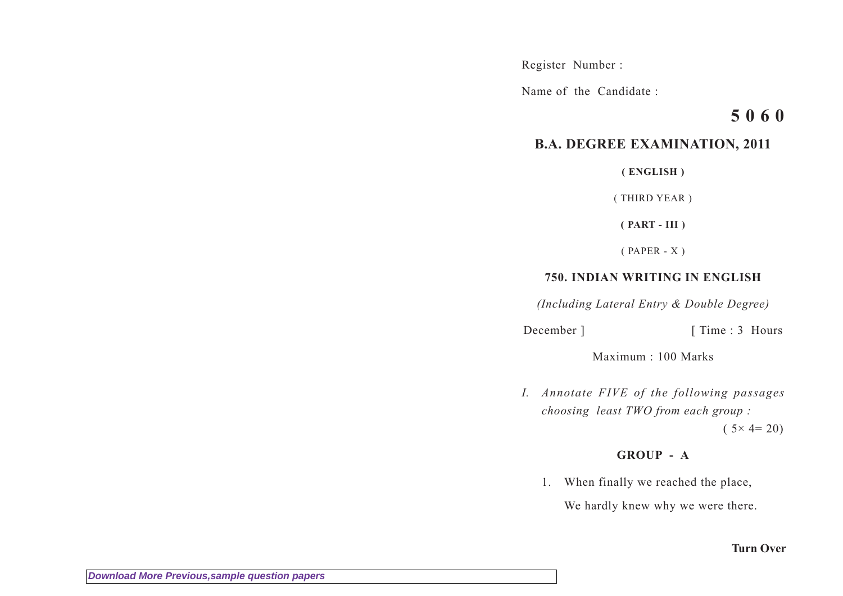Register Number :

Name of the Candidate :

# **5 0 6 0**

## **B.A. DEGREE EXAMINATION, 2011**

**( ENGLISH )**

( THIRD YEAR )

**( PART - III )**

( PAPER - X )

## **750. INDIAN WRITING IN ENGLISH**

*(Including Lateral Entry & Double Degree)*

December ] [ Time : 3 Hours

Maximum : 100 Marks

*I. Annotate FIVE of the following passages choosing least TWO from each group :*

 $(5 \times 4 = 20)$ 

### **GROUP - A**

1. When finally we reached the place,

We hardly knew why we were there.

#### **Turn Over**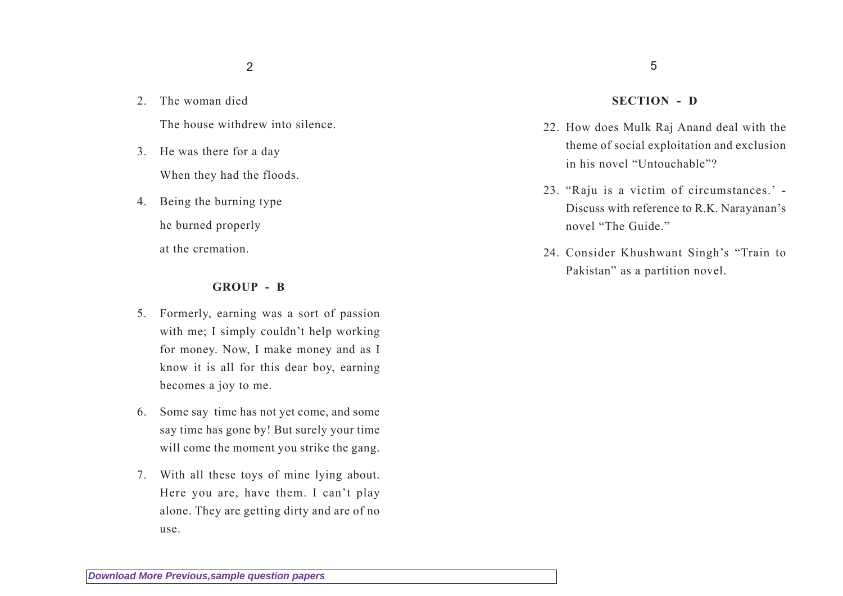- 2. The woman died The house withdrew into silence.
- 3. He was there for a day When they had the floods.
- 4. Being the burning type he burned properly at the cremation.

#### **GROUP - B**

- 5. Formerly, earning was a sort of passion with me; I simply couldn't help working for money. Now, I make money and as I know it is all for this dear boy, earning becomes a joy to me.
- 6. Some say time has not yet come, and some say time has gone by! But surely your time will come the moment you strike the gang.
- 7. With all these toys of mine lying about. Here you are, have them. I can't play alone. They are getting dirty and are of no use.

#### 5

#### **SECTION - D**

- 22. How does Mulk Raj Anand deal with the theme of social exploitation and exclusion in his novel "Untouchable"?
- 23. "Raju is a victim of circumstances.' Discuss with reference to R.K. Narayanan's novel "The Guide."
- 24. Consider Khushwant Singh's "Train to Pakistan" as a partition novel.